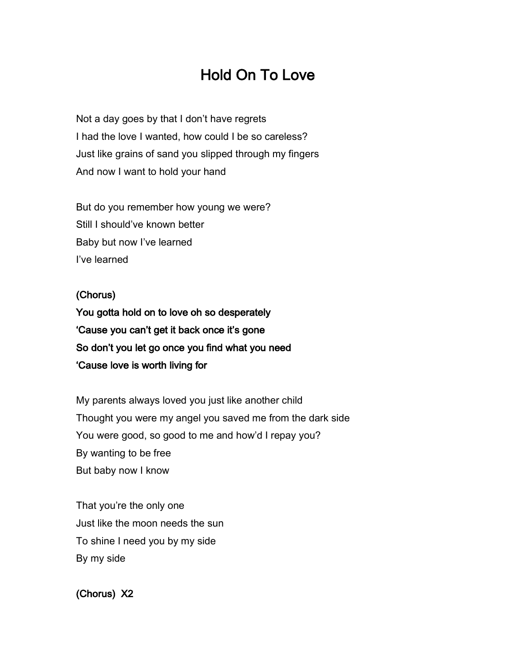## Hold On To Love

Not a day goes by that I don't have regrets I had the love I wanted, how could I be so careless? Just like grains of sand you slipped through my fingers And now I want to hold your hand

But do you remember how young we were? Still I should've known better Baby but now I've learned I've learned

## (Chorus)

You gotta hold on to love oh so desperately 'Cause you can't get it back once it's gone So don't you let go once you find what you need 'Cause love is worth living for

My parents always loved you just like another child Thought you were my angel you saved me from the dark side You were good, so good to me and how'd I repay you? By wanting to be free But baby now I know

That you're the only one Just like the moon needs the sun To shine I need you by my side By my side

## (Chorus) X2